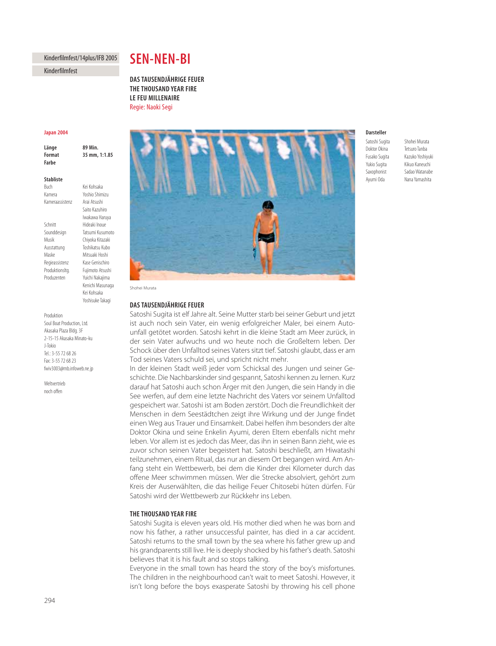# Kinderfilmfest/14plus/IFB 2005

Kinderfilmfest

# **SEN-NEN-BI**

**DAS TAUSENDJÄHRIGE FEUER THE THOUSAND YEAR FIRE** *LE FEU MILLENAIRE* **LE FEU MILLENAIRE** Regie: Naoki Segi

#### **Japan 2004 Japan 2004**

Länge **Format** 35 mm, 1:1.85 **Format 35 mm, 1:1.85**

### **Stabliste**

**Buch** Kamera Yoshio Shimizu Kameraassistenz Arai Atsushi

Saito Kazuhiro Iwakawa Haruya Schnitt Hideaki Inoue Sounddesign Tatsumi Kusumoto Musik Chiyoka Kitazaki Ausstattung Toshikatsu Kubo Maske Mitsuaki Hoshi Regieassistenz Kase Genischiro Produktionsltg. Fujimoto Atsushi Produzenten Yuichi Nakajima

Kei Kohsaka

89 Min

Kenichi Masunaga Kei Kohsaka

Yoshisuke Takagi Produktion Soul Boat Production, Ltd. Akasaka Plaza Bldg. 3F 2-15-15 Akasaka Minato-ku J-Tokio Tel.: 3-55 72 68 26 Fax: 3-55 72 68 23

fwiv3003@mb.infoweb.ne.jp

Weltvertrieh noch offen



Shohei Murata

## DAS TAUSENDJÄHRIGE FEUER

**Satoshi Sugita ist elf Jahre alt. Seine Mutter starb bei seiner Geburt und jetzt** ist auch noch sein Vater, ein wenig erfolgreicher Maler, bei einem Autounfall getötet worden. Satoshi kehrt in die kleine Stadt am Meer zurück, in der sein Vater aufwuchs und wo heute noch die Großeltern leben. Der Schock über den Unfalltod seines Vaters sitzt tief. Satoshi glaubt, dass er am Tod seines Vaters schuld sei, und spricht nicht mehr.

In der kleinen Stadt weiß jeder vom Schicksal des Jungen und seiner Geschichte. Die Nachbarskinder sind gespannt, Satoshi kennen zu lernen. Kurz darauf hat Satoshi auch schon Ärger mit den Jungen, die sein Handy in die See werfen, auf dem eine letzte Nachricht des Vaters vor seinem Unfalltod gespeichert war. Satoshi ist am Boden zerstört. Doch die Freundlichkeit der Menschen in dem Seestädtchen zeigt ihre Wirkung und der Junge findet einen Weg aus Trauer und Einsamkeit. Dabei helfen ihm besonders der alte Doktor Okina und seine Enkelin Ayumi, deren Eltern ebenfalls nicht mehr leben. Vor allem ist es jedoch das Meer, das ihn in seinen Bann zieht, wie es zuvor schon seinen Vater begeistert hat. Satoshi beschließt, am Hiwatashi teilzunehmen, einem Ritual, das nur an diesem Ort begangen wird. Am Anfang steht ein Wettbewerb, bei dem die Kinder drei Kilometer durch das offene Meer schwimmen müssen. Wer die Strecke absolviert, gehört zum Kreis der Auserwählten, die das heilige Feuer Chitosebi hüten dürfen. Für Satoshi wird der Wettbewerb zur Rückkehr ins Leben.

Satoshi Sugita is eleven years old. His mother died when he was born and now his father, a rather unsuccessful painter, has died in a car accident. Satoshi returns to the small town by the sea where his father grew up and his grandparents still live. He is deeply shocked by his father's death. Satoshi believes that it is his fault and so stops talking.

Everyone in the small town has heard the story of the boy's misfortunes. The children in the neighbourhood can't wait to meet Satoshi. However, it isn't long before the boys exasperate Satoshi by throwing his cell phone

# Darsteller

Doktor Okina Tetsuro Tanba Fusako Sugita Kazuko Yoshiyuki Yukio Sugita Kikuo Kaneuchi Saxophonist Sadao Watanabe Ayumi Oda Nana Yamashita

**Darsteller** Satoshi Sugita Shohei Murata